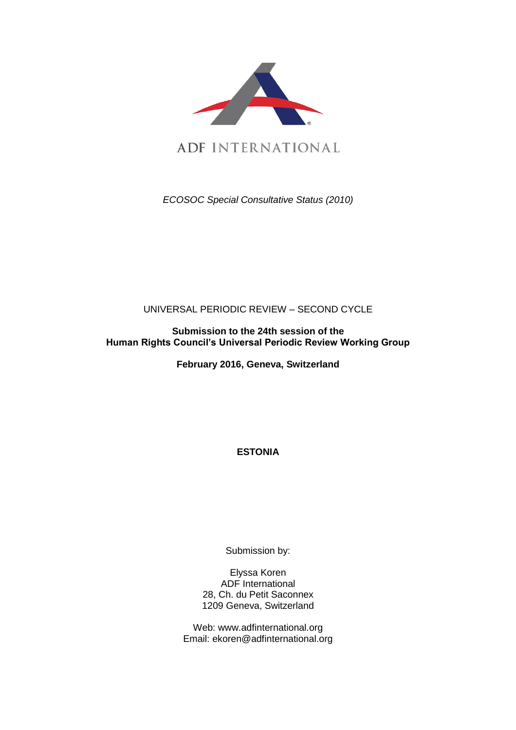

*ECOSOC Special Consultative Status (2010)*

# UNIVERSAL PERIODIC REVIEW – SECOND CYCLE

**Submission to the 24th session of the Human Rights Council's Universal Periodic Review Working Group**

**February 2016, Geneva, Switzerland**

**ESTONIA**

Submission by:

Elyssa Koren ADF International 28, Ch. du Petit Saconnex 1209 Geneva, Switzerland

Web: www.adfinternational.org Email: ekoren@adfinternational.org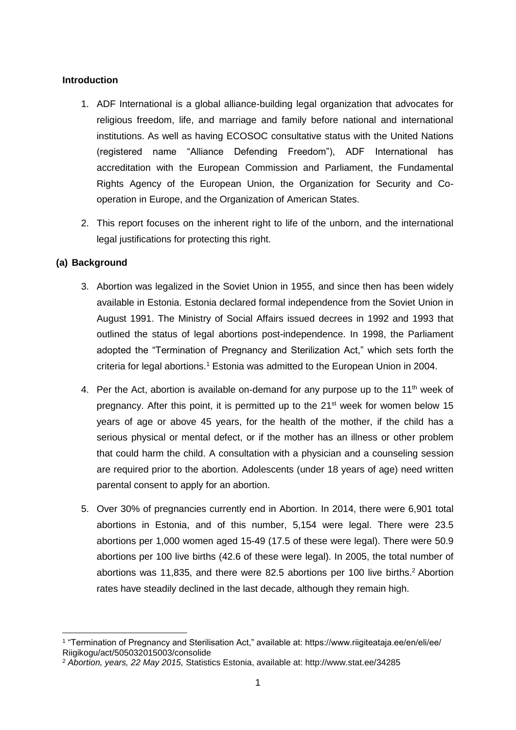## **Introduction**

- 1. ADF International is a global alliance-building legal organization that advocates for religious freedom, life, and marriage and family before national and international institutions. As well as having ECOSOC consultative status with the United Nations (registered name "Alliance Defending Freedom"), ADF International has accreditation with the European Commission and Parliament, the Fundamental Rights Agency of the European Union, the Organization for Security and Cooperation in Europe, and the Organization of American States.
- 2. This report focuses on the inherent right to life of the unborn, and the international legal justifications for protecting this right.

## **(a) Background**

- 3. Abortion was legalized in the Soviet Union in 1955, and since then has been widely available in Estonia. Estonia declared formal independence from the Soviet Union in August 1991. The Ministry of Social Affairs issued decrees in 1992 and 1993 that outlined the status of legal abortions post-independence. In 1998, the Parliament adopted the "Termination of Pregnancy and Sterilization Act," which sets forth the criteria for legal abortions.<sup>1</sup> Estonia was admitted to the European Union in 2004.
- 4. Per the Act, abortion is available on-demand for any purpose up to the 11<sup>th</sup> week of pregnancy. After this point, it is permitted up to the 21<sup>st</sup> week for women below 15 years of age or above 45 years, for the health of the mother, if the child has a serious physical or mental defect, or if the mother has an illness or other problem that could harm the child. A consultation with a physician and a counseling session are required prior to the abortion. Adolescents (under 18 years of age) need written parental consent to apply for an abortion.
- 5. Over 30% of pregnancies currently end in Abortion. In 2014, there were 6,901 total abortions in Estonia, and of this number, 5,154 were legal. There were 23.5 abortions per 1,000 women aged 15-49 (17.5 of these were legal). There were 50.9 abortions per 100 live births (42.6 of these were legal). In 2005, the total number of abortions was 11,835, and there were 82.5 abortions per 100 live births.<sup>2</sup> Abortion rates have steadily declined in the last decade, although they remain high.

<sup>1</sup> "Termination of Pregnancy and Sterilisation Act," available at: https://www.riigiteataja.ee/en/eli/ee/ Riigikogu/act/505032015003/consolide

<sup>2</sup> *Abortion, years, 22 May 2015,* Statistics Estonia, available at: http://www.stat.ee/34285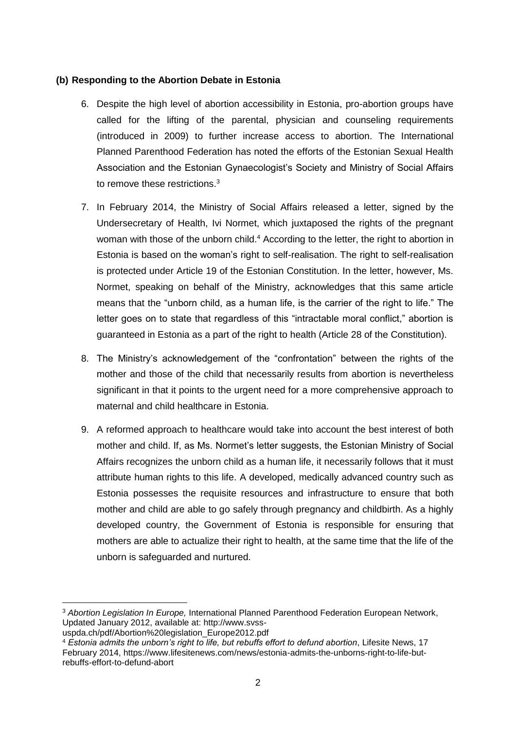## **(b) Responding to the Abortion Debate in Estonia**

- 6. Despite the high level of abortion accessibility in Estonia, pro-abortion groups have called for the lifting of the parental, physician and counseling requirements (introduced in 2009) to further increase access to abortion. The International Planned Parenthood Federation has noted the efforts of the Estonian Sexual Health Association and the Estonian Gynaecologist's Society and Ministry of Social Affairs to remove these restrictions.<sup>3</sup>
- 7. In February 2014, the Ministry of Social Affairs released a letter, signed by the Undersecretary of Health, Ivi Normet, which juxtaposed the rights of the pregnant woman with those of the unborn child.<sup>4</sup> According to the letter, the right to abortion in Estonia is based on the woman's right to self-realisation. The right to self-realisation is protected under Article 19 of the Estonian Constitution. In the letter, however, Ms. Normet, speaking on behalf of the Ministry, acknowledges that this same article means that the "unborn child, as a human life, is the carrier of the right to life." The letter goes on to state that regardless of this "intractable moral conflict," abortion is guaranteed in Estonia as a part of the right to health (Article 28 of the Constitution).
- 8. The Ministry's acknowledgement of the "confrontation" between the rights of the mother and those of the child that necessarily results from abortion is nevertheless significant in that it points to the urgent need for a more comprehensive approach to maternal and child healthcare in Estonia.
- 9. A reformed approach to healthcare would take into account the best interest of both mother and child. If, as Ms. Normet's letter suggests, the Estonian Ministry of Social Affairs recognizes the unborn child as a human life, it necessarily follows that it must attribute human rights to this life. A developed, medically advanced country such as Estonia possesses the requisite resources and infrastructure to ensure that both mother and child are able to go safely through pregnancy and childbirth. As a highly developed country, the Government of Estonia is responsible for ensuring that mothers are able to actualize their right to health, at the same time that the life of the unborn is safeguarded and nurtured.

<sup>3</sup> *Abortion Legislation In Europe,* International Planned Parenthood Federation European Network, Updated January 2012, available at: http://www.svss-

uspda.ch/pdf/Abortion%20legislation\_Europe2012.pdf

<sup>4</sup> *Estonia admits the unborn's right to life, but rebuffs effort to defund abortion*, Lifesite News, 17 February 2014, https://www.lifesitenews.com/news/estonia-admits-the-unborns-right-to-life-butrebuffs-effort-to-defund-abort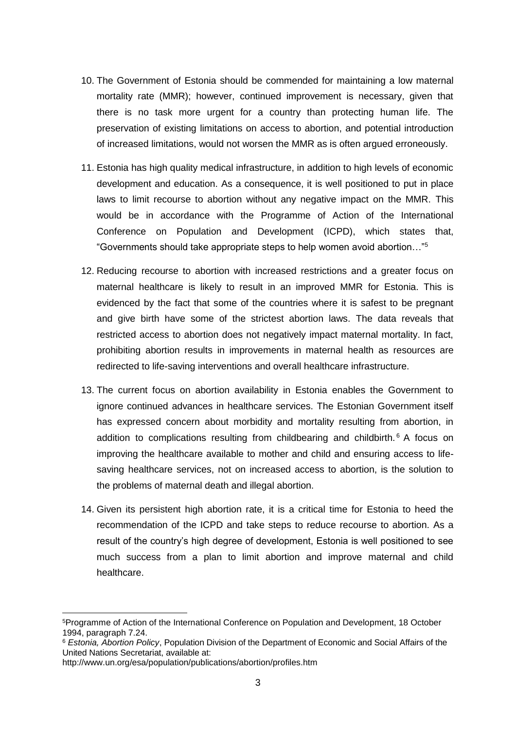- 10. The Government of Estonia should be commended for maintaining a low maternal mortality rate (MMR); however, continued improvement is necessary, given that there is no task more urgent for a country than protecting human life. The preservation of existing limitations on access to abortion, and potential introduction of increased limitations, would not worsen the MMR as is often argued erroneously.
- 11. Estonia has high quality medical infrastructure, in addition to high levels of economic development and education. As a consequence, it is well positioned to put in place laws to limit recourse to abortion without any negative impact on the MMR. This would be in accordance with the Programme of Action of the International Conference on Population and Development (ICPD), which states that, "Governments should take appropriate steps to help women avoid abortion…"<sup>5</sup>
- 12. Reducing recourse to abortion with increased restrictions and a greater focus on maternal healthcare is likely to result in an improved MMR for Estonia. This is evidenced by the fact that some of the countries where it is safest to be pregnant and give birth have some of the strictest abortion laws. The data reveals that restricted access to abortion does not negatively impact maternal mortality. In fact, prohibiting abortion results in improvements in maternal health as resources are redirected to life-saving interventions and overall healthcare infrastructure.
- 13. The current focus on abortion availability in Estonia enables the Government to ignore continued advances in healthcare services. The Estonian Government itself has expressed concern about morbidity and mortality resulting from abortion, in addition to complications resulting from childbearing and childbirth.<sup>6</sup> A focus on improving the healthcare available to mother and child and ensuring access to lifesaving healthcare services, not on increased access to abortion, is the solution to the problems of maternal death and illegal abortion.
- 14. Given its persistent high abortion rate, it is a critical time for Estonia to heed the recommendation of the ICPD and take steps to reduce recourse to abortion. As a result of the country's high degree of development, Estonia is well positioned to see much success from a plan to limit abortion and improve maternal and child healthcare.

<u>.</u>

<sup>5</sup>Programme of Action of the International Conference on Population and Development, 18 October 1994, paragraph 7.24.

<sup>6</sup> *Estonia, Abortion Policy*, Population Division of the Department of Economic and Social Affairs of the United Nations Secretariat, available at:

http://www.un.org/esa/population/publications/abortion/profiles.htm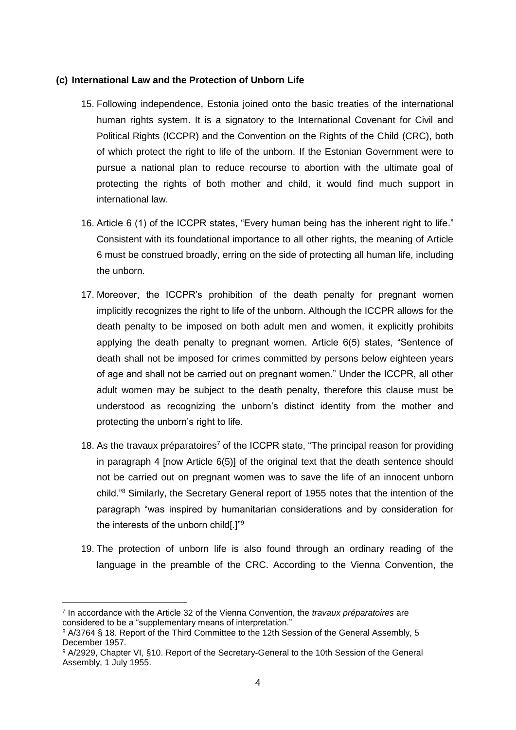#### **(c) International Law and the Protection of Unborn Life**

- 15. Following independence, Estonia joined onto the basic treaties of the international human rights system. It is a signatory to the International Covenant for Civil and Political Rights (ICCPR) and the Convention on the Rights of the Child (CRC), both of which protect the right to life of the unborn. If the Estonian Government were to pursue a national plan to reduce recourse to abortion with the ultimate goal of protecting the rights of both mother and child, it would find much support in international law.
- 16. Article 6 (1) of the ICCPR states, "Every human being has the inherent right to life." Consistent with its foundational importance to all other rights, the meaning of Article 6 must be construed broadly, erring on the side of protecting all human life, including the unborn.
- 17. Moreover, the ICCPR's prohibition of the death penalty for pregnant women implicitly recognizes the right to life of the unborn. Although the ICCPR allows for the death penalty to be imposed on both adult men and women, it explicitly prohibits applying the death penalty to pregnant women. Article 6(5) states, "Sentence of death shall not be imposed for crimes committed by persons below eighteen years of age and shall not be carried out on pregnant women." Under the ICCPR, all other adult women may be subject to the death penalty, therefore this clause must be understood as recognizing the unborn's distinct identity from the mother and protecting the unborn's right to life.
- 18. As the travaux préparatoires<sup>7</sup> of the ICCPR state, "The principal reason for providing in paragraph 4 [now Article 6(5)] of the original text that the death sentence should not be carried out on pregnant women was to save the life of an innocent unborn child."<sup>8</sup> Similarly, the Secretary General report of 1955 notes that the intention of the paragraph "was inspired by humanitarian considerations and by consideration for the interests of the unborn child[.]"<sup>9</sup>
- 19. The protection of unborn life is also found through an ordinary reading of the language in the preamble of the CRC. According to the Vienna Convention, the

<sup>7</sup> In accordance with the Article 32 of the Vienna Convention, the *travaux préparatoires* are considered to be a "supplementary means of interpretation."

<sup>8</sup> A/3764 § 18. Report of the Third Committee to the 12th Session of the General Assembly, 5 December 1957.

<sup>9</sup> A/2929, Chapter VI, §10. Report of the Secretary-General to the 10th Session of the General Assembly, 1 July 1955.